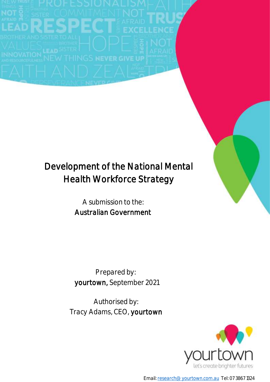# Development of the National Mental Health Workforce Strategy

A submission to the: Australian Government

Prepared by: yourtown, September 2021

Authorised by: Tracy Adams, CEO, yourtown



Email[: research@yourtown.com.au](mailto:research@yourtown.com.au) Tel: 07 3867 1324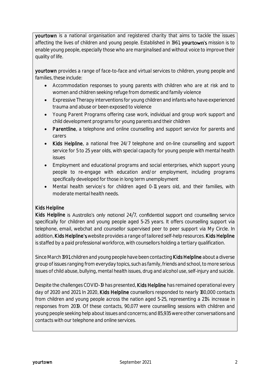yourtown is a national organisation and registered charity that aims to tackle the issues affecting the lives of children and young people. Established in 1961, yourtown's mission is to enable young people, especially those who are marginalised and without voice to improve their quality of life.

yourtown provides a range of face-to-face and virtual services to children, young people and families, these include:

- Accommodation responses to young parents with children who are at risk and to women and children seeking refuge from domestic and family violence
- Expressive Therapy interventions for young children and infants who have experienced trauma and abuse or been exposed to violence
- Young Parent Programs offering case work, individual and group work support and child development programs for young parents and their children
- Parentline, a telephone and online counselling and support service for parents and carers
- Kids Helpline, a national free 24/7 telephone and on-line counselling and support service for 5 to 25 year olds, with special capacity for young people with mental health issues
- Employment and educational programs and social enterprises, which support young people to re-engage with education and/or employment, including programs specifically developed for those in long term unemployment
- Mental health service/s for children aged 0-11 years old, and their families, with moderate mental health needs.

# Kids Helpline

Kids Helpline is Australia's only national 24/7, confidential support and counselling service specifically for children and young people aged 5-25 years. It offers counselling support via telephone, email, webchat and counsellor supervised peer to peer support via My Circle. In addition, Kids Helpline's website provides a range of tailored self-help resources. Kids Helpline is staffed by a paid professional workforce, with counsellors holding a tertiary qualification.

Since March 1991, children and young people have been contacting Kids Helpline about a diverse group of issues ranging from everyday topics, such as family, friends and school, to more serious issues of child abuse, bullying, mental health issues, drug and alcohol use, self-injury and suicide.

Despite the challenges COVID-19 has presented, Kids Helpline has remained operational every day of 2020 and 2021. In 2020, Kids Helpline counsellors responded to nearly 180,000 contacts from children and young people across the nation aged 5-25, representing a 21% increase in responses from 2019. Of these contacts, 90,077 were counselling sessions with children and young people seeking help about issues and concerns; and 85,935 were other conversations and contacts with our telephone and online services.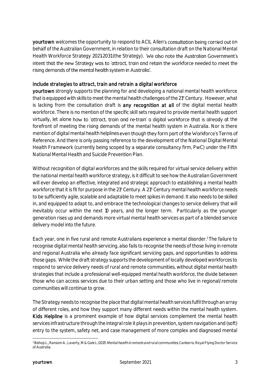yourtown welcomes the opportunity to respond to ACIL Allen's consultation being carried out on behalf of the Australian Government, in relation to their consultation draft on the National Mental Health Workforce Strategy 2021-2031 (the Strategy). We also note the Australian Government's intent that the new Strategy was to 'attract, train and retain the workforce needed to meet the rising demands of the mental health system in Australia'.

#### Include strategies to attract, train and retrain a digital workforce

yourtown strongly supports the planning for and developing a national mental health workforce that is equipped with skills to meet the mental health challenges of the 21<sup>st</sup> Century. However, what is lacking from the consultation draft is any recognition at all of the digital mental health workforce. There is no mention of the specific skill sets required to provide mental health support virtually, let alone how to 'attract, train and re-train' a digital workforce that is already at the forefront of meeting the rising demands of the mental health system in Australia. Nor is there mention of digital mental health helplines even though they form part of the Workforce's Terms of Reference. And there is only passing reference to the development of the National Digital Mental Health Framework (currently being scoped by a separate consultancy firm, PwC) under the Fifth National Mental Health and Suicide Prevention Plan.

Without recognition of digital workforces and the skills required for virtual service delivery within the national mental health workforce strategy, is it difficult to see how the Australian Government will ever develop an effective, integrated and strategic approach to establishing a mental health workforce that it is fit for purpose in the 2<sup>1st</sup> Century. A 2<sup>1st</sup> Century mental health workforce needs to be sufficiently agile, scalable and adaptable to meet spikes in demand. It also needs to be skilled in, and equipped to adapt to, and embrace the technological changes to service delivery that will inevitably occur within the next 10 years, and the longer term. Particularly as the younger generation rises up and demands more virtual mental health services as part of a blended service delivery model into the future.

Each year, one in five rural and remote Australians experience a mental disorder.<sup>1</sup> The failure to recognise digital mental health servicing, also fails to recognise the needs of those living in remote and regional Australia who already face significant servicing gaps, and opportunities to address those gaps. While the draft strategy supports the development of locally developed workforces to respond to service delivery needs of rural and remote communities, without digital mental health strategies that include a professional well-equipped mental health workforce, the divide between those who can access services due to their urban setting and those who live in regional/remote communities will continue to grow.

The Strategy needs to recognise the place that digital mental health services fulfil through an array of different roles, and how they support many different needs within the mental health system. Kids Helpline is a prominent example of how digital services complement the mental health services infrastructure through the integral role it plays in prevention, system navigation and (soft) entry to the system, safety net, and case management of more complex and diagnosed mental

**<sup>-</sup>**<sup>1</sup> Bishop L., Ransom A., Laverty, M & Gale L (2017) *Mental health in remote and rural communities*, Canberra, Royal Flying Doctor Service of Australia.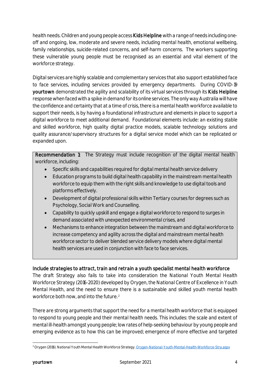health needs. Children and young people access **Kids Helpline** with a range of needs including oneoff and ongoing, low, moderate and severe needs, including mental health, emotional wellbeing, family relationships, suicide-related concerns, and self-harm concerns. The workers supporting these vulnerable young people must be recognised as an essential and vital element of the workforce strategy.

Digital services are highly scalable and complementary services that also support established face to face services, including services provided by emergency departments. During COVID-19 yourtown demonstrated the agility and scalability of its virtual services through its Kids Helpline response when faced with a spike in demand for its online services. The only way Australia will have the confidence and certainty that at a time of crisis, there is a mental health workforce available to support their needs, is by having a foundational infrastructure and elements in place to support a digital workforce to meet additional demand. Foundational elements include: an existing stable and skilled workforce, high quality digital practice models, scalable technology solutions and quality assurance/supervisory structures for a digital service model which can be replicated or expanded upon.

Recommendation 1: The Strategy must include recognition of the digital mental health workforce, including:

- Specific skills and capabilities required for digital mental health service delivery
- Education programs to build digital health capability in the mainstream mental health workforce to equip them with the right skills and knowledge to use digital tools and platforms effectively.
- Development of digital professional skills within Tertiary courses for degrees such as Psychology, Social Work and Counselling.
- Capability to quickly upskill and engage a digital workforce to respond to surges in demand associated with unexpected environmental crises, and
- Mechanisms to enhance integration between the mainstream and digital workforce to increase competency and agility across the digital and mainstream mental health workforce sector to deliver blended service delivery models where digital mental health services are used in conjunction with face to face services.

# Include strategies to attract, train and retrain a youth specialist mental health workforce

The draft Strategy also fails to take into consideration the National Youth Mental Health Workforce Strategy (2016-2020) developed by Orygen, the National Centre of Excellence in Youth Mental Health, and the need to ensure there is a sustainable and skilled youth mental health workforce both now, and into the future. <sup>2</sup>

There are strong arguments that support the need for a mental health workforce that is equipped to respond to young people and their mental health needs. This includes: the scale and extent of mental ill-health amongst young people; low rates of help-seeking behaviour by young people and emerging evidence as to how this can be improved; emergence of more effective and targeted

<sup>-</sup><sup>2</sup> Orygen (2016). National Youth Mental Health Workforce Strategy[. Orygen-National-Youth-Mental-Health-Workforce-Stra.aspx](https://www.orygen.org.au/About/News-And-Events/Orygen-Workforce-Strategy/Orygen-National-Youth-Mental-Health-Workforce-Stra.aspx#:~:text=The%20National%20Youth%20Mental%20Health%20Workforce%20Strategy%20(2016%2D2020),are%20experiencing%20mental%20ill%2Dhealth.)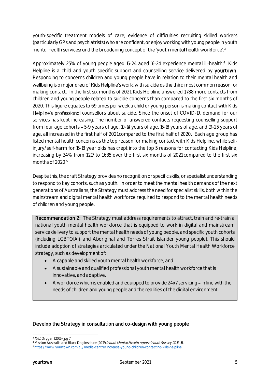youth-specific treatment models of care; evidence of difficulties recruiting skilled workers (particularly GPs and psychiatrists) who are confident, or enjoy working with young people in youth mental health services; and the broadening concept of the 'youth mental health workforce'.<sup>3</sup>

Approximately 25% of young people aged 16-24 aged 16-24 experience mental ill-health.<sup>4</sup> Kids Helpline is a child and youth specific support and counselling service delivered by yourtown. Responding to concerns children and young people have in relation to their mental health and wellbeing is a major area of Kids Helpline's work, with suicide as the third most common reason for making contact. In the first six months of 2021, Kids Helpline answered 1,788 more contacts from children and young people related to suicide concerns than compared to the first six months of 2020. This figure equates to 69 times per week a child or young person is making contact with Kids Helpline's professional counsellors about suicide. Since the onset of COVID-19, demand for our services has kept increasing. The number of answered contacts requesting counselling support from four age cohorts - 5-9 years of age, 10-14 years of age, 15-18 years of age, and 19-25 years of age, all increased in the first half of 2021 compared to the first half of 2020. Each age group has listed mental health concerns as the top reason for making contact with Kids Helpline, while selfinjury/self-harm for 15-18 year olds has crept into the top 5 reasons for contacting Kids Helpline, increasing by 34% from 1,217 to 1,635 over the first six months of 2021 compared to the first six months of  $2020<sup>5</sup>$ 

Despite this, the draft Strategy provides no recognition or specific skills, or specialist understanding to respond to key cohorts, such as youth. In order to meet the mental health demands of the next generations of Australians, the Strategy must address the need for specialist skills, both within the mainstream and digital mental health workforce required to respond to the mental health needs of children and young people.

Recommendation 2: The Strategy must address requirements to attract, train and re-train a national youth mental health workforce that is equipped to work in digital and mainstream service delivery to support the mental health needs of young people, and specific youth cohorts (including LGBTQIA+ and Aboriginal and Torres Strait Islander young people). This should include adoption of strategies articulated under the National Youth Mental Health Workforce strategy, such as development of:

- A capable and skilled youth mental health workforce, and
- A sustainable and qualified professional youth mental health workforce that is innovative, and adaptive.
- A workforce which is enabled and equipped to provide  $24x7$  servicing  $-$  in line with the needs of children and young people and the realities of the digital environment.

# Develop the Strategy in consultation and co-design with young people

**<sup>-</sup>**<sup>3</sup> *Ibid,* Orygen (2016).<sub>..</sub>pg 7

<sup>4</sup> Mission Australia and Black Dog Institute (2017), Youth Mental Health report: Youth Survey 2012-16.

<sup>5</sup> [https://www.yourtown.com.au/media-centre/increase-young-children-contacting-kids-helpline](https://protect-au.mimecast.com/s/-7YYCZY12ACPrQ4Ujvc91?domain=yourtown.com.au)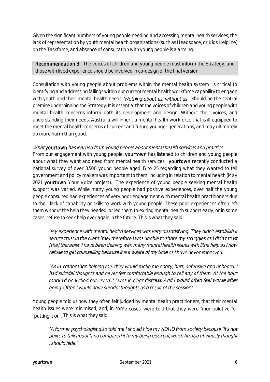Given the significant numbers of young people needing and accessing mental health services, the lack of representation by youth mental health organisations (such as Headspace, or Kids Helpline) on the Taskforce, and absence of consultation with young people is alarming.

Recommendation 3: The voices of children and young people must inform the Strategy, and those with lived experience should be involved in co-design of the final version.

Consultation with young people about problems within the mental health system is critical to identifying and addressing failings within our current mental health workforce capability to engage with youth and their mental health needs. 'Nothing about us, without us' should be the central premise underpinning the Strategy. It is essential that the voices of children and young people with mental health concerns inform both its development and design. Without their voices, and understanding their needs, Australia will inherit a mental health workforce that is ill-equipped to meet the mental health concerns of current and future younger generations, and may ultimately do more harm than good.

#### What yourtown has learned from young people about mental health services and practice

From our engagement with young people, yourtown has listened to children and young people about what they want and need from mental health services. yourtown recently conducted a national survey of over 3,500 young people aged 15 to 25 regarding what they wanted to tell government and policy makers was important to them, including in relation to mental health (May 2021, yourtown Your Voice project). The experience of young people seeking mental health support was varied. While many young people had positive experiences, over half the young people consulted had experiences of very poor engagement with mental health practitioners due to their lack of capability or skills to work with young people. These poor experiences often left them without the help they needed, or led them to exiting mental health support early, or in some cases, refuse to seek help ever again in the future. This is what they said:

"My experience with mental health services was very dissatisfying. They didn't establish a secure trust in the client (me) therefore I was unable to share my struggles as I didn't trust [the] therapist. I have been dealing with many mental health issues with little help as I now refuse to get counselling because it is a waste of my time as I have never improved."

"As in, rather than helping me, they would make me angry, hurt, defensive and unheard. I had suicidal thoughts and never felt comfortable enough to tell any of them. At the hour mark I'd be kicked out, even if I was in clear distress. And I would often feel worse after going. Often I would have suicidal thoughts as a result of the sessions."

Young people told us how they often felt judged by mental health practitioners; that their mental health issues were minimised, and, in some cases, were told that they were "manipulative "or "putting it on". This is what they said:

"A former psychologist also told me I should hide my ADHD from society because "it's not polite to talk about" and compared it to my being bisexual, which he also obviously thought I should hide."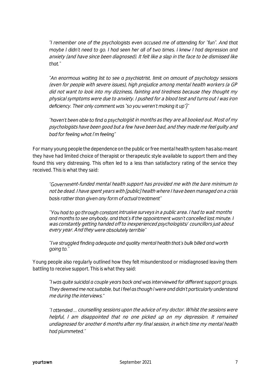"I remember one of the psychologists even accused me of attending for "fun". And that maybe I didn't need to go. I had seen her all of two times. I knew I had depression and anxiety (and have since been diagnosed). It felt like a slap in the face to be dismissed like that"

"An enormous waiting list to see a psychiatrist, limit on amount of psychology sessions (even for people with severe issues), high prejudice among mental health workers (a GP did not want to look into my dizziness, fainting and tiredness because they thought my physical symptoms were due to anxiety. I pushed for a blood test and turns out I was iron deficiency. Their only comment was "so you weren't making it up")"

"haven't been able to find a psychologist in months as they are all booked out. Most of my psychologists have been good but a few have been bad, and they made me feel guilty and bad for feeling what I'm feeling"

For many young people the dependence on the public or free mental health system has also meant they have had limited choice of therapist or therapeutic style available to support them and they found this very distressing. This often led to a less than satisfactory rating of the service they received. This is what they said:

"Government-funded mental health support has provided me with the bare minimum to not be dead. I have spent years with [public] health where I have been managed on a crisis basis rather than given any form of actual treatment"

"You had to go through constant intrusive surveys in a public area. I had to wait months and months to see anybody, and that's if the appointment wasn't cancelled last minute. I was constantly getting handed off to inexperienced psychologists/ councillors just about every year. And they were absolutely terrible"

"I've struggled finding adequate and quality mental health that's bulk billed and worth qoing to.'

Young people also regularly outlined how they felt misunderstood or misdiagnosed leaving them battling to receive support. This is what they said:

"I was quite suicidal a couple years back and was interviewed for different support groups. They deemed me not suitable, but I feel as though I were and didn't particularly understand me during the interviews.

"I attended ... counselling sessions upon the advice of my doctor. Whilst the sessions were helpful, I am disappointed that no one picked up on my depression. It remained undiagnosed for another 6 months after my final session, in which time my mental health had plummeted."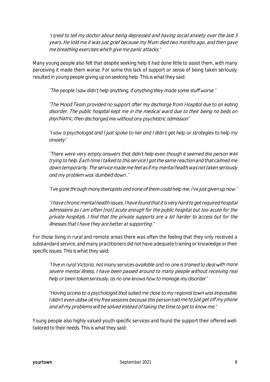"I tried to tell my doctor about being depressed and having social anxiety over the last 3 years. He told me it was just grief because my Mum died two months ago, and then gave me breathing exercises which give me panic attacks.

Many young people also felt that despite seeking help it had done little to assist them, with many perceiving it made them worse. For some this lack of support or sense of being taken seriously resulted in young people giving up on seeking help. This is what they said:

"The people I saw didn't help anything, if anything they made some stuff worse."

"The Mood Team provided no support after my discharge from Hospital due to an eating disorder. The public hospital kept me in the medical ward due to their being no beds on psychiatric, then discharged me without any psychiatric admission"

"I saw a psychologist and I just spoke to her and I didn't get help or strategies to help my anxiety"

"There were very empty answers that didn't help even though it seemed the person was trying to help. Each time I talked to this service I got the same reaction and that calmed me down temporarily. The service made me feel as if my mental health was not taken seriously and my problem was 'dumbed down'."

"I've gone through many therapists and none of them could help me. I've just given up now."

I have chronic mental health issues. I have found that it is very hard to get required hospital admissions as I am often [not] acute enough for the public hospital but too acute for the private hospitals. I find that the private supports are a lot harder to access but for the illnesses that I have they are better at supporting.

For those living in rural and remote areas there was often the feeling that they only received a substandard service, and many practitioners did not have adequate training or knowledge or their specific issues. This is what they said:

"I live in rural Victoria, not many services available and no one is trained to deal with more severe mental illness, I have been passed around to many people without receiving real help or been taken seriously, as no one knows how to manage my disorder"

"Having access to a psychologist that suited me close to my regional town was impossible, I didn't even utilise all my free sessions because this person told me to just get off my phone and all my problems will be solved instead of taking the time to get to know me.

Young people also highly valued youth specific services and found the support their offered welltailored to their needs. This is what they said: